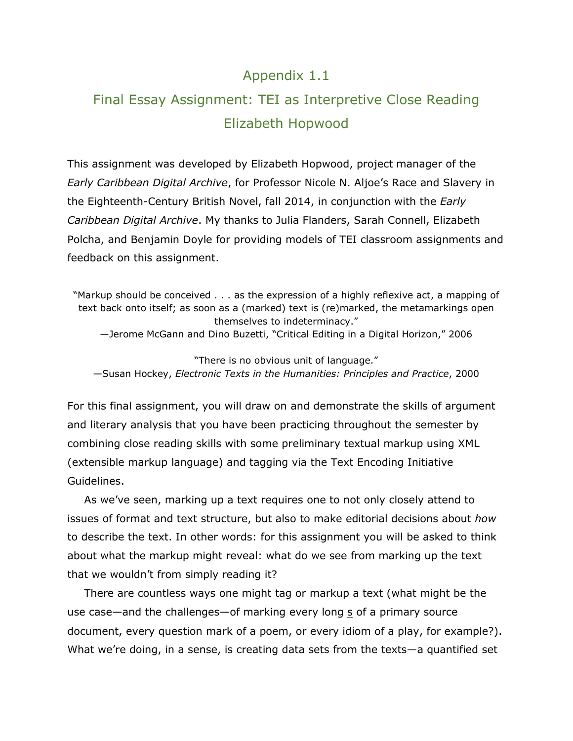## Appendix 1.1

# Final Essay Assignment: TEI as Interpretive Close Reading Elizabeth Hopwood

This assignment was developed by Elizabeth Hopwood, project manager of the *Early Caribbean Digital Archive*, for Professor Nicole N. Aljoe's Race and Slavery in the Eighteenth-Century British Novel, fall 2014, in conjunction with the *Early Caribbean Digital Archive*. My thanks to Julia Flanders, Sarah Connell, Elizabeth Polcha, and Benjamin Doyle for providing models of TEI classroom assignments and feedback on this assignment.

"Markup should be conceived . . . as the expression of a highly reflexive act, a mapping of text back onto itself; as soon as a (marked) text is (re)marked, the metamarkings open themselves to indeterminacy." —Jerome McGann and Dino Buzetti, "Critical Editing in a Digital Horizon," 2006

"There is no obvious unit of language." —Susan Hockey, *Electronic Texts in the Humanities: Principles and Practice*, 2000

For this final assignment, you will draw on and demonstrate the skills of argument and literary analysis that you have been practicing throughout the semester by combining close reading skills with some preliminary textual markup using XML (extensible markup language) and tagging via the Text Encoding Initiative Guidelines.

As we've seen, marking up a text requires one to not only closely attend to issues of format and text structure, but also to make editorial decisions about *how* to describe the text. In other words: for this assignment you will be asked to think about what the markup might reveal: what do we see from marking up the text that we wouldn't from simply reading it?

There are countless ways one might tag or markup a text (what might be the use case—and the challenges—of marking every long  $s$  of a primary source document, every question mark of a poem, or every idiom of a play, for example?). What we're doing, in a sense, is creating data sets from the texts—a quantified set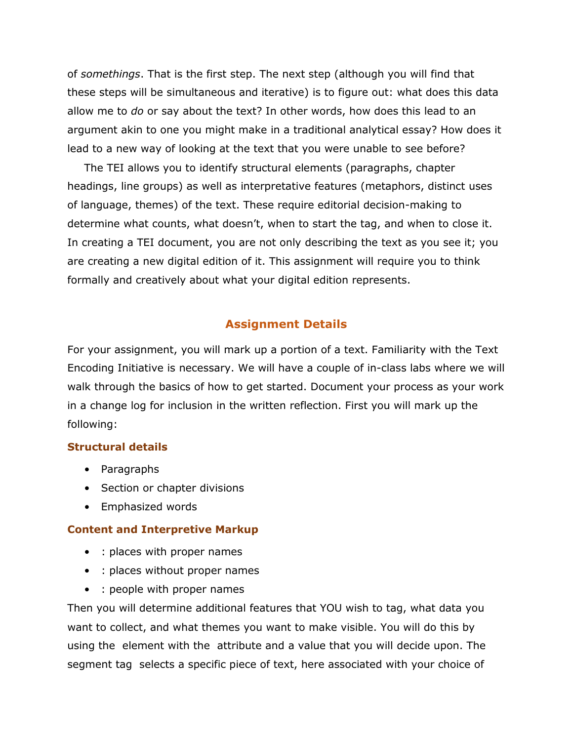of *somethings*. That is the first step. The next step (although you will find that these steps will be simultaneous and iterative) is to figure out: what does this data allow me to *do* or say about the text? In other words, how does this lead to an argument akin to one you might make in a traditional analytical essay? How does it lead to a new way of looking at the text that you were unable to see before?

The TEI allows you to identify structural elements (paragraphs, chapter headings, line groups) as well as interpretative features (metaphors, distinct uses of language, themes) of the text. These require editorial decision-making to determine what counts, what doesn't, when to start the tag, and when to close it. In creating a TEI document, you are not only describing the text as you see it; you are creating a new digital edition of it. This assignment will require you to think formally and creatively about what your digital edition represents.

## **Assignment Details**

For your assignment, you will mark up a portion of a text. Familiarity with the Text Encoding Initiative is necessary. We will have a couple of in-class labs where we will walk through the basics of how to get started. Document your process as your work in a change log for inclusion in the written reflection. First you will mark up the following:

### **Structural details**

- Paragraphs
- Section or chapter divisions
- Emphasized words

### **Content and Interpretive Markup**

- : places with proper names
- : places without proper names
- : people with proper names

Then you will determine additional features that YOU wish to tag, what data you want to collect, and what themes you want to make visible. You will do this by using the element with the attribute and a value that you will decide upon. The segment tag selects a specific piece of text, here associated with your choice of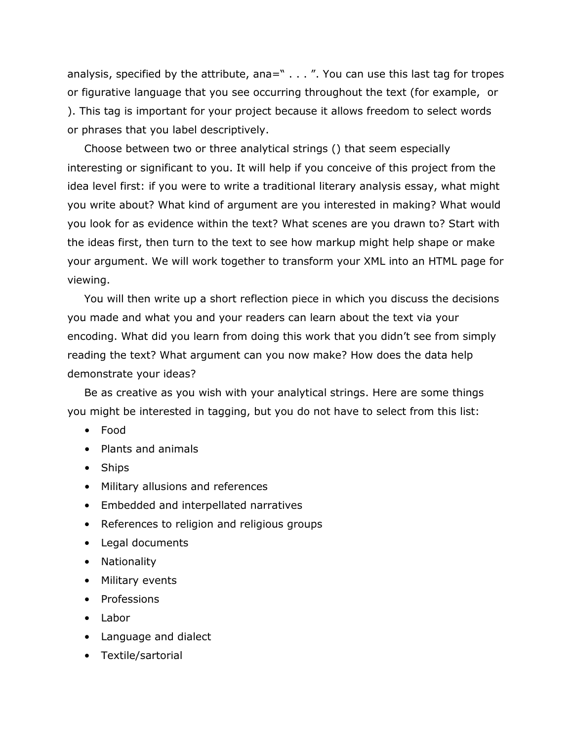analysis, specified by the attribute, ana=" . . . ". You can use this last tag for tropes or figurative language that you see occurring throughout the text (for example, or ). This tag is important for your project because it allows freedom to select words or phrases that you label descriptively.

Choose between two or three analytical strings () that seem especially interesting or significant to you. It will help if you conceive of this project from the idea level first: if you were to write a traditional literary analysis essay, what might you write about? What kind of argument are you interested in making? What would you look for as evidence within the text? What scenes are you drawn to? Start with the ideas first, then turn to the text to see how markup might help shape or make your argument. We will work together to transform your XML into an HTML page for viewing.

You will then write up a short reflection piece in which you discuss the decisions you made and what you and your readers can learn about the text via your encoding. What did you learn from doing this work that you didn't see from simply reading the text? What argument can you now make? How does the data help demonstrate your ideas?

Be as creative as you wish with your analytical strings. Here are some things you might be interested in tagging, but you do not have to select from this list:

- Food
- Plants and animals
- Ships
- Military allusions and references
- Embedded and interpellated narratives
- References to religion and religious groups
- Legal documents
- Nationality
- Military events
- Professions
- Labor
- Language and dialect
- Textile/sartorial